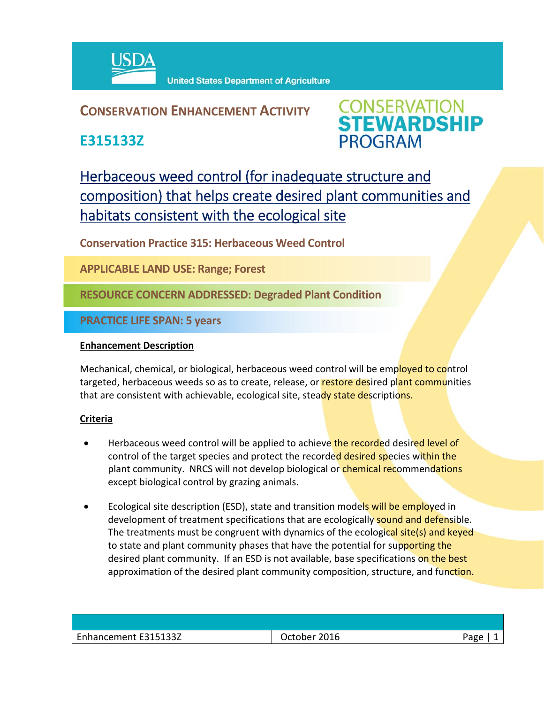

## **CONSERVATION ENHANCEMENT ACTIVITY**

**E315133Z**



Herbaceous weed control (for inadequate structure and composition) that helps create desired plant communities and habitats consistent with the ecological site

**Conservation Practice 315: Herbaceous Weed Control** 

**APPLICABLE LAND USE: Range; Forest**

**RESOURCE CONCERN ADDRESSED: Degraded Plant Condition**

**PRACTICE LIFE SPAN: 5 years**

## **Enhancement Description**

Mechanical, chemical, or biological, herbaceous weed control will be employed to control targeted, herbaceous weeds so as to create, release, or restore desired plant communities that are consistent with achievable, ecological site, steady state descriptions.

## **Criteria**

- Herbaceous weed control will be applied to achieve the recorded desired level of control of the target species and protect the recorded desired species within the plant community. NRCS will not develop biological or *chemical recommendations* except biological control by grazing animals.
- Ecological site description (ESD), state and transition models will be employed in development of treatment specifications that are ecologically sound and defensible. The treatments must be congruent with dynamics of the ecological site(s) and keyed to state and plant community phases that have the potential for supporting the desired plant community. If an ESD is not available, base specifications on the best approximation of the desired plant community composition, structure, and function.

| Enhancement E315133Z | October 2016 | Page |
|----------------------|--------------|------|
|                      |              |      |